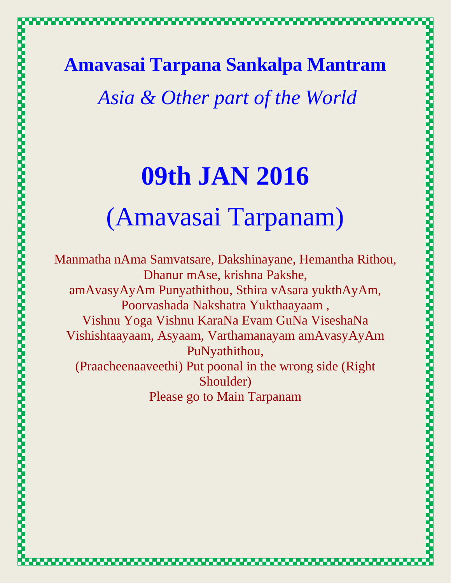**Amavasai Tarpana Sankalpa Mantram**

*Asia & Other part of the World*

# **09th JAN 2016**  (Amavasai Tarpanam)

Manmatha nAma Samvatsare, Dakshinayane, Hemantha Rithou, Dhanur mAse, krishna Pakshe, amAvasyAyAm Punyathithou, Sthira vAsara yukthAyAm, Poorvashada Nakshatra Yukthaayaam , Vishnu Yoga Vishnu KaraNa Evam GuNa ViseshaNa Vishishtaayaam, Asyaam, Varthamanayam amAvasyAyAm PuNyathithou, (Praacheenaaveethi) Put poonal in the wrong side (Right Shoulder) Please go to Main Tarpanam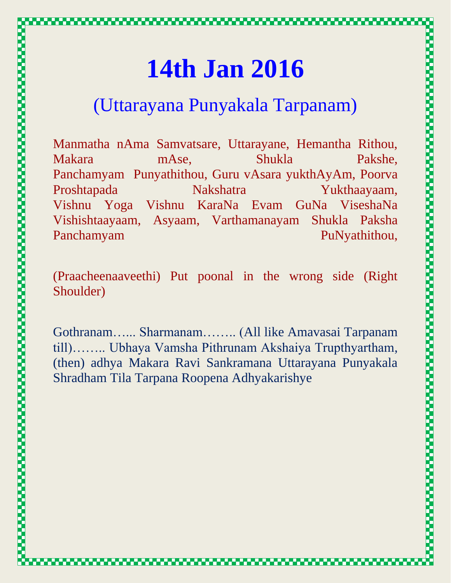### **14th Jan 2016**

#### (Uttarayana Punyakala Tarpanam)

Manmatha nAma Samvatsare, Uttarayane, Hemantha Rithou, Makara mAse, Shukla Pakshe, Panchamyam Punyathithou, Guru vAsara yukthAyAm, Poorva Proshtapada Nakshatra Yukthaayaam, Vishnu Yoga Vishnu KaraNa Evam GuNa ViseshaNa Vishishtaayaam, Asyaam, Varthamanayam Shukla Paksha Panchamyam PuNyathithou,

(Praacheenaaveethi) Put poonal in the wrong side (Right Shoulder)

Gothranam…... Sharmanam…….. (All like Amavasai Tarpanam till)…….. Ubhaya Vamsha Pithrunam Akshaiya Trupthyartham, (then) adhya Makara Ravi Sankramana Uttarayana Punyakala Shradham Tila Tarpana Roopena Adhyakarishye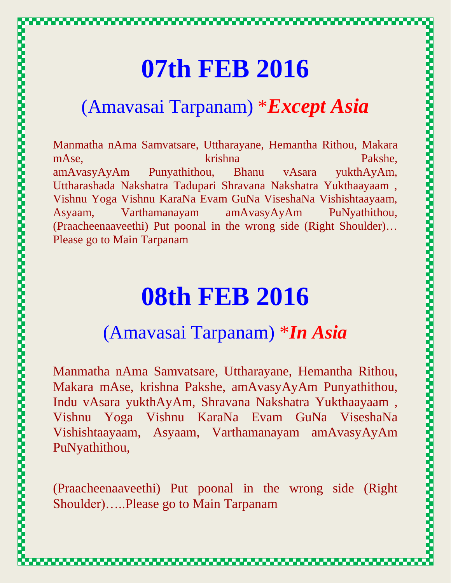# **07th FEB 2016**  (Amavasai Tarpanam) \**Except Asia*

Manmatha nAma Samvatsare, Uttharayane, Hemantha Rithou, Makara mAse, krishna Pakshe, krishna Pakshe, amAvasyAyAm Punyathithou, Bhanu vAsara yukthAyAm, Uttharashada Nakshatra Tadupari Shravana Nakshatra Yukthaayaam , Vishnu Yoga Vishnu KaraNa Evam GuNa ViseshaNa Vishishtaayaam, Asyaam, Varthamanayam amAvasyAyAm PuNyathithou, (Praacheenaaveethi) Put poonal in the wrong side (Right Shoulder)… Please go to Main Tarpanam

# **08th FEB 2016**

#### (Amavasai Tarpanam) \**In Asia*

Manmatha nAma Samvatsare, Uttharayane, Hemantha Rithou, Makara mAse, krishna Pakshe, amAvasyAyAm Punyathithou, Indu vAsara yukthAyAm, Shravana Nakshatra Yukthaayaam , Vishnu Yoga Vishnu KaraNa Evam GuNa ViseshaNa Vishishtaayaam, Asyaam, Varthamanayam amAvasyAyAm PuNyathithou,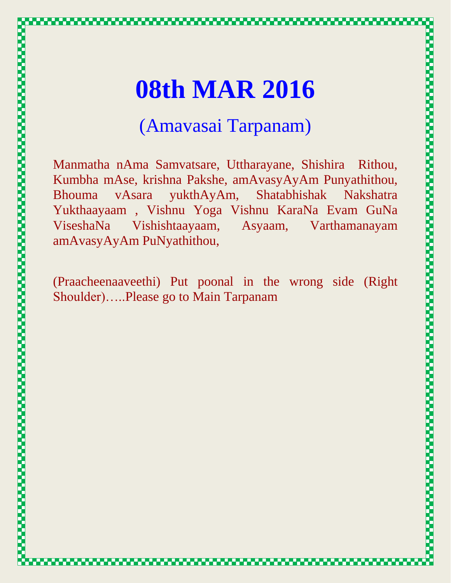# **08th MAR 2016**

#### (Amavasai Tarpanam)

Manmatha nAma Samvatsare, Uttharayane, Shishira Rithou, Kumbha mAse, krishna Pakshe, amAvasyAyAm Punyathithou, Bhouma vAsara yukthAyAm, Shatabhishak Nakshatra Yukthaayaam , Vishnu Yoga Vishnu KaraNa Evam GuNa ViseshaNa Vishishtaayaam, Asyaam, Varthamanayam amAvasyAyAm PuNyathithou,

(Praacheenaaveethi) Put poonal in the wrong side (Right Shoulder)…..Please go to Main Tarpanam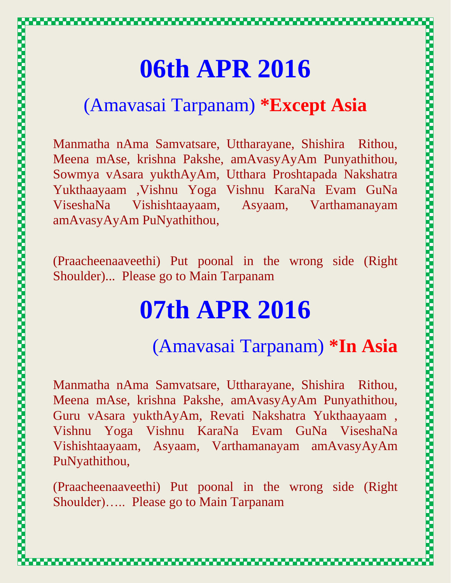### **06th APR 2016**

#### (Amavasai Tarpanam) **\*Except Asia**

Manmatha nAma Samvatsare, Uttharayane, Shishira Rithou, Meena mAse, krishna Pakshe, amAvasyAyAm Punyathithou, Sowmya vAsara yukthAyAm, Utthara Proshtapada Nakshatra Yukthaayaam ,Vishnu Yoga Vishnu KaraNa Evam GuNa ViseshaNa Vishishtaayaam, Asyaam, Varthamanayam amAvasyAyAm PuNyathithou,

(Praacheenaaveethi) Put poonal in the wrong side (Right Shoulder)... Please go to Main Tarpanam

### **07th APR 2016**

#### (Amavasai Tarpanam) **\*In Asia**

Manmatha nAma Samvatsare, Uttharayane, Shishira Rithou, Meena mAse, krishna Pakshe, amAvasyAyAm Punyathithou, Guru vAsara yukthAyAm, Revati Nakshatra Yukthaayaam , Vishnu Yoga Vishnu KaraNa Evam GuNa ViseshaNa Vishishtaayaam, Asyaam, Varthamanayam amAvasyAyAm PuNyathithou,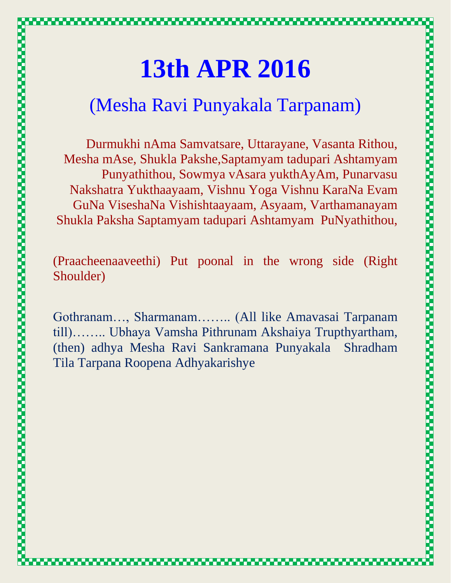# **13th APR 2016**

#### (Mesha Ravi Punyakala Tarpanam)

Durmukhi nAma Samvatsare, Uttarayane, Vasanta Rithou, Mesha mAse, Shukla Pakshe,Saptamyam tadupari Ashtamyam Punyathithou, Sowmya vAsara yukthAyAm, Punarvasu Nakshatra Yukthaayaam, Vishnu Yoga Vishnu KaraNa Evam GuNa ViseshaNa Vishishtaayaam, Asyaam, Varthamanayam Shukla Paksha Saptamyam tadupari Ashtamyam PuNyathithou,

(Praacheenaaveethi) Put poonal in the wrong side (Right Shoulder)

Gothranam…, Sharmanam…….. (All like Amavasai Tarpanam till)…….. Ubhaya Vamsha Pithrunam Akshaiya Trupthyartham, (then) adhya Mesha Ravi Sankramana Punyakala Shradham Tila Tarpana Roopena Adhyakarishye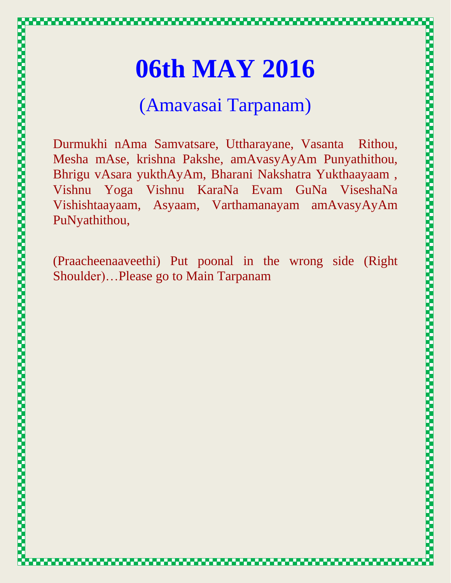# **06th MAY 2016**

#### (Amavasai Tarpanam)

Durmukhi nAma Samvatsare, Uttharayane, Vasanta Rithou, Mesha mAse, krishna Pakshe, amAvasyAyAm Punyathithou, Bhrigu vAsara yukthAyAm, Bharani Nakshatra Yukthaayaam , Vishnu Yoga Vishnu KaraNa Evam GuNa ViseshaNa Vishishtaayaam, Asyaam, Varthamanayam amAvasyAyAm PuNyathithou,

(Praacheenaaveethi) Put poonal in the wrong side (Right Shoulder)…Please go to Main Tarpanam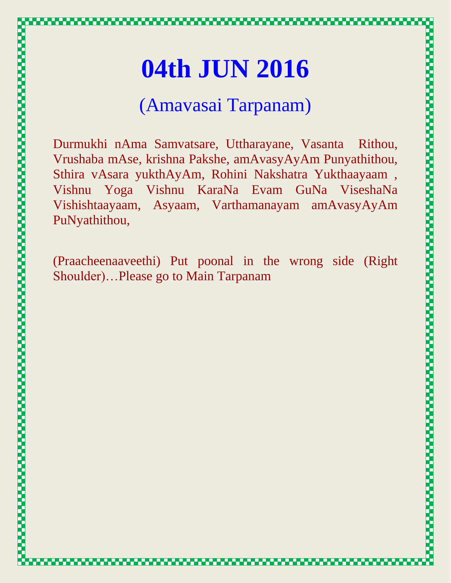#### (Amavasai Tarpanam)

Durmukhi nAma Samvatsare, Uttharayane, Vasanta Rithou, Vrushaba mAse, krishna Pakshe, amAvasyAyAm Punyathithou, Sthira vAsara yukthAyAm, Rohini Nakshatra Yukthaayaam , Vishnu Yoga Vishnu KaraNa Evam GuNa ViseshaNa Vishishtaayaam, Asyaam, Varthamanayam amAvasyAyAm PuNyathithou,

(Praacheenaaveethi) Put poonal in the wrong side (Right Shoulder)…Please go to Main Tarpanam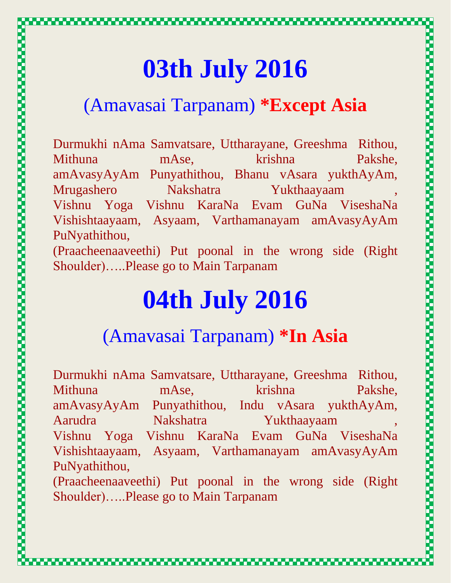# **03th July 2016**

#### (Amavasai Tarpanam) **\*Except Asia**

Durmukhi nAma Samvatsare, Uttharayane, Greeshma Rithou, Mithuna mAse, krishna Pakshe, amAvasyAyAm Punyathithou, Bhanu vAsara yukthAyAm, Mrugashero Nakshatra Yukthaayaam , Vishnu Yoga Vishnu KaraNa Evam GuNa ViseshaNa Vishishtaayaam, Asyaam, Varthamanayam amAvasyAyAm PuNyathithou,

(Praacheenaaveethi) Put poonal in the wrong side (Right Shoulder)…..Please go to Main Tarpanam

### **04th July 2016**

**POSTAGE AND AN ANTIQUES OF A STATEMENT COMMUNICATION AND A STATEMENT OF A STATEMENT COMMUNICATION CONTINUES.** 

#### (Amavasai Tarpanam) **\*In Asia**

Durmukhi nAma Samvatsare, Uttharayane, Greeshma Rithou, Mithuna mAse, krishna Pakshe, amAvasyAyAm Punyathithou, Indu vAsara yukthAyAm, Aarudra Nakshatra Yukthaayaam Vishnu Yoga Vishnu KaraNa Evam GuNa ViseshaNa Vishishtaayaam, Asyaam, Varthamanayam amAvasyAyAm PuNyathithou,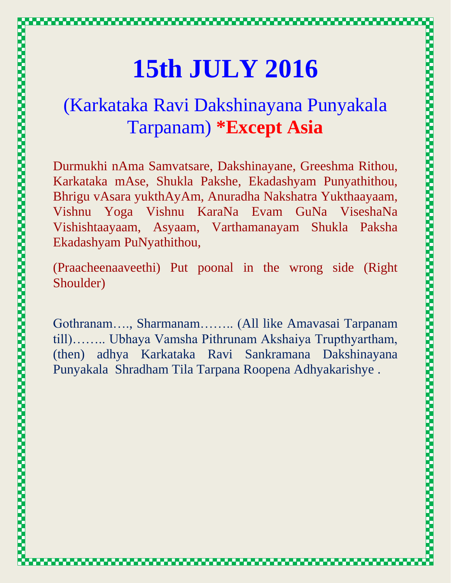# **15th JULY 2016**

#### (Karkataka Ravi Dakshinayana Punyakala Tarpanam) **\*Except Asia**

Durmukhi nAma Samvatsare, Dakshinayane, Greeshma Rithou, Karkataka mAse, Shukla Pakshe, Ekadashyam Punyathithou, Bhrigu vAsara yukthAyAm, Anuradha Nakshatra Yukthaayaam, Vishnu Yoga Vishnu KaraNa Evam GuNa ViseshaNa Vishishtaayaam, Asyaam, Varthamanayam Shukla Paksha Ekadashyam PuNyathithou,

(Praacheenaaveethi) Put poonal in the wrong side (Right Shoulder)

Gothranam…., Sharmanam…….. (All like Amavasai Tarpanam till)…….. Ubhaya Vamsha Pithrunam Akshaiya Trupthyartham, (then) adhya Karkataka Ravi Sankramana Dakshinayana Punyakala Shradham Tila Tarpana Roopena Adhyakarishye .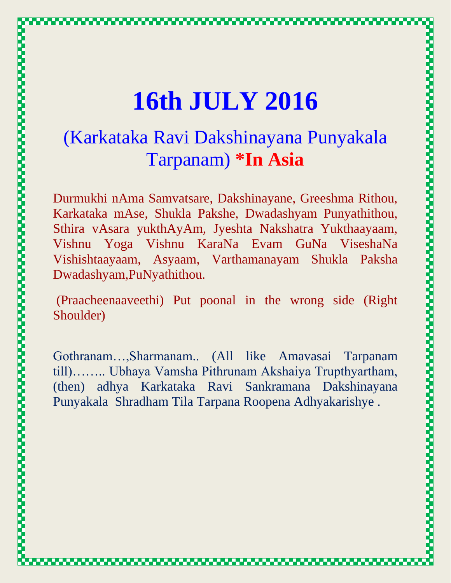# **16th JULY 2016**

#### (Karkataka Ravi Dakshinayana Punyakala Tarpanam) **\*In Asia**

Durmukhi nAma Samvatsare, Dakshinayane, Greeshma Rithou, Karkataka mAse, Shukla Pakshe, Dwadashyam Punyathithou, Sthira vAsara yukthAyAm, Jyeshta Nakshatra Yukthaayaam, Vishnu Yoga Vishnu KaraNa Evam GuNa ViseshaNa Vishishtaayaam, Asyaam, Varthamanayam Shukla Paksha Dwadashyam,PuNyathithou.

(Praacheenaaveethi) Put poonal in the wrong side (Right Shoulder)

Gothranam…,Sharmanam.. (All like Amavasai Tarpanam till)…….. Ubhaya Vamsha Pithrunam Akshaiya Trupthyartham, (then) adhya Karkataka Ravi Sankramana Dakshinayana Punyakala Shradham Tila Tarpana Roopena Adhyakarishye .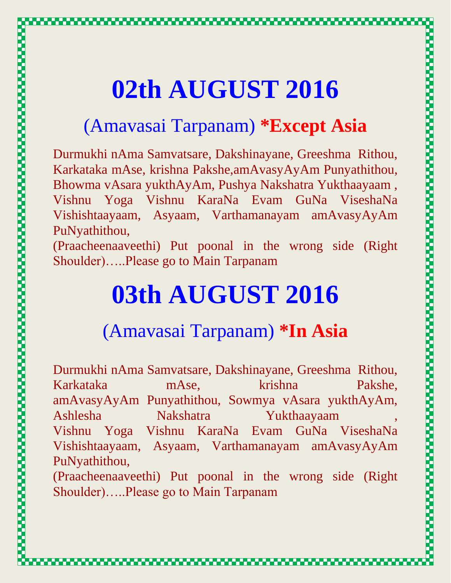# **02th AUGUST 2016**

#### (Amavasai Tarpanam) **\*Except Asia**

Durmukhi nAma Samvatsare, Dakshinayane, Greeshma Rithou, Karkataka mAse, krishna Pakshe,amAvasyAyAm Punyathithou, Bhowma vAsara yukthAyAm, Pushya Nakshatra Yukthaayaam , Vishnu Yoga Vishnu KaraNa Evam GuNa ViseshaNa Vishishtaayaam, Asyaam, Varthamanayam amAvasyAyAm PuNyathithou,

(Praacheenaaveethi) Put poonal in the wrong side (Right Shoulder)…..Please go to Main Tarpanam

## **03th AUGUST 2016**

#### (Amavasai Tarpanam) **\*In Asia**

Durmukhi nAma Samvatsare, Dakshinayane, Greeshma Rithou, Karkataka mAse, krishna Pakshe, amAvasyAyAm Punyathithou, Sowmya vAsara yukthAyAm, Ashlesha Nakshatra Yukthaayaam , Vishnu Yoga Vishnu KaraNa Evam GuNa ViseshaNa Vishishtaayaam, Asyaam, Varthamanayam amAvasyAyAm PuNyathithou,